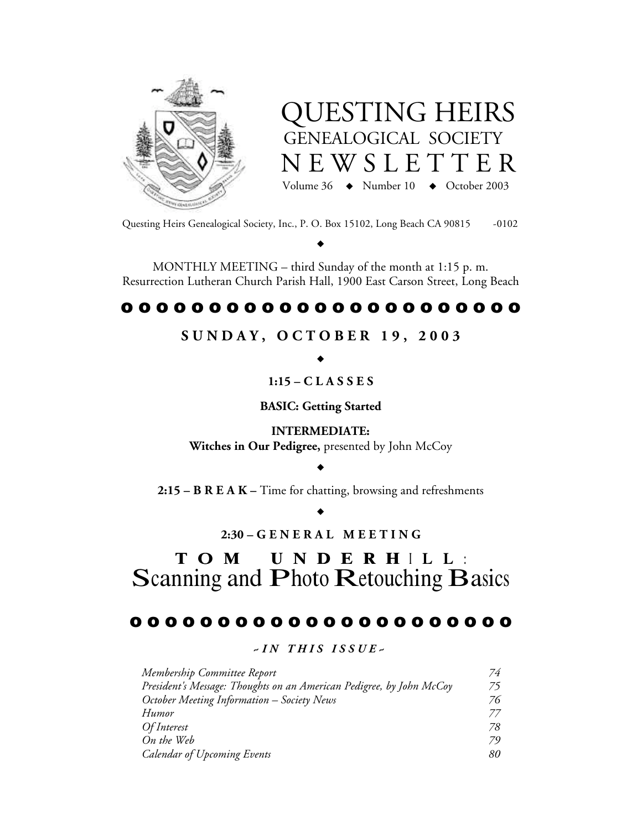



Questing Heirs Genealogical Society, Inc., P. O. Box 15102, Long Beach CA 90815 -0102

 $\blacklozenge$ 

MONTHLY MEETING – third Sunday of the month at 1:15 p. m. Resurrection Lutheran Church Parish Hall, 1900 East Carson Street, Long Beach

# o o o o o o o o o o o o o o o o o o o o o o o

# **S U N D A Y , O C T O B E R 1 9 , 2 0 0 3**

 $\blacklozenge$ 

**1:15 – C L A S S E S**

**BASIC: Getting Started**

**INTERMEDIATE: Witches in Our Pedigree,** presented by John McCoy

 $\blacklozenge$ 

**2:15 – B R E A K –** Time for chatting, browsing and refreshments

 $\blacklozenge$ 

**2:30 – G E N E R A L M E E T I N G**

# T O M U N D E R H <sup>I</sup> L L : Scanning and Photo Retouching Basics

# o o o o o o o o o o o o o o o o o o o o o o

*~ I N T H I S I S S U E ~*

| Membership Committee Report                                          | 74 |
|----------------------------------------------------------------------|----|
| President's Message: Thoughts on an American Pedigree, by John McCoy | 75 |
| October Meeting Information - Society News                           | 76 |
| Humor                                                                | 77 |
| <i>Of Interest</i>                                                   | 78 |
| On the Web                                                           | 79 |
| <b>Calendar of Upcoming Events</b>                                   | 80 |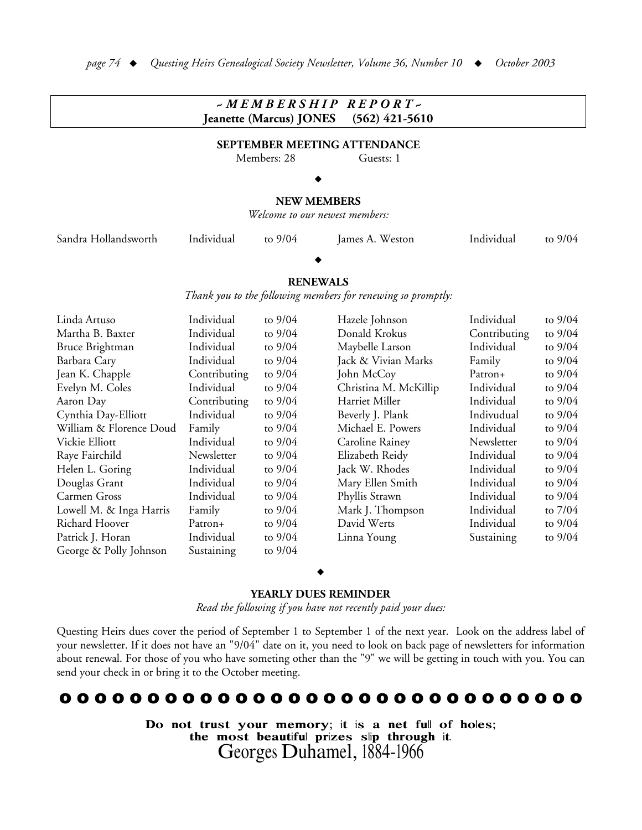#### *~ M E M B E R S H I P R E P O R T ~* **Jeanette (Marcus) JONES (562) 421-5610 SEPTEMBER MEETING ATTENDANCE** Members: 28 Guests: 1  $\blacklozenge$ **NEW MEMBERS** *Welcome to our newest members:* Sandra Hollandsworth Individual to 9/04 James A. Weston Individual to 9/04  $\blacklozenge$ **RENEWALS** *Thank you to the following members for renewing so promptly:* Linda Artuso Individual to 9/04 Martha B. Baxter Individual to  $9/04$ Bruce Brightman Individual to  $9/04$ Barbara Cary **Individual** to  $9/04$ Jean K. Chapple Contributing to 9/04 Evelyn M. Coles Individual to  $9/04$ Aaron Day Contributing to 9/04 Cynthia Day-Elliott Individual to 9/04 William & Florence Doud Family to 9/04 Vickie Elliott **Individual** to 9/04 Raye Fairchild Newsletter to 9/04 Helen L. Goring Individual to  $9/04$ Douglas Grant Individual to  $9/04$ Carmen Gross Individual to  $9/04$ Lowell M. & Inga Harris Family to 9/04 Richard Hoover Patron+ to  $9/04$ Patrick J. Horan Individual to  $9/04$ George & Polly Johnson Sustaining to  $9/04$ Hazele Johnson **Individual** to  $9/04$ Donald Krokus Contributing to  $9/04$ Maybelle Larson Individual to  $9/04$ Jack & Vivian Marks Family to 9/04 John McCoy Patron+ to 9/04 Christina M. McKillip Individual to  $9/04$ Harriet Miller Individual to 9/04 Beverly J. Plank Indivudual to  $9/04$ Michael E. Powers Individual to  $9/04$ Caroline Rainey Mewsletter to  $9/04$ Elizabeth Reidy Individual to  $9/04$ Jack W. Rhodes Individual to 9/04 Mary Ellen Smith Individual to  $9/04$ Phyllis Strawn Individual to  $9/04$ Mark J. Thompson Individual to 7/04 David Werts **Individual** to  $9/04$ Linna Young Sustaining to  $9/04$

#### $\blacklozenge$

#### **YEARLY DUES REMINDER**

*Read the following if you have not recently paid your dues:*

Questing Heirs dues cover the period of September 1 to September 1 of the next year. Look on the address label of your newsletter. If it does not have an "9/04" date on it, you need to look on back page of newsletters for information about renewal. For those of you who have someting other than the "9" we will be getting in touch with you. You can send your check in or bring it to the October meeting.

# o o o o o o o o o o o o o o o o o o o o o o o o o o o o o o

Do not trust your memory; <sup>i</sup>t <sup>i</sup>s a net full of holes; the most beautifu<sup>l</sup> prizes slip through <sup>i</sup>t. Georges Duhamel, 1884-1966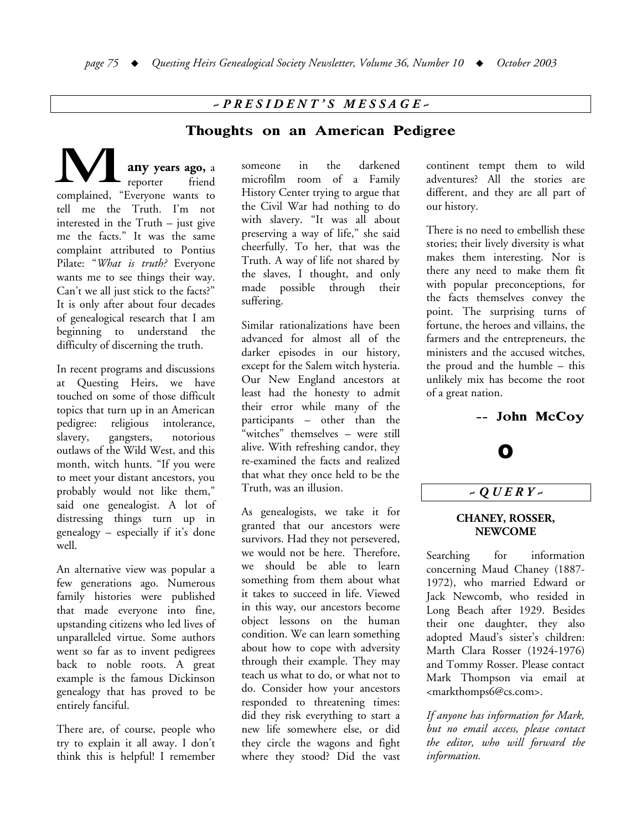# *~ P R E S I D E N T ' S M E S S A G E ~*

### Thoughts on an American Pedigree

**any years ago,** a reporter friend complained, "Everyone wants to tell me the Truth. I'm not interested in the Truth – just give me the facts." It was the same complaint attributed to Pontius Pilate: "*What is truth?* Everyone wants me to see things their way. Can't we all just stick to the facts?" It is only after about four decades of genealogical research that I am beginning to understand the difficulty of discerning the truth. M

In recent programs and discussions at Questing Heirs, we have touched on some of those difficult topics that turn up in an American pedigree: religious intolerance, slavery, gangsters, notorious outlaws of the Wild West, and this month, witch hunts. "If you were to meet your distant ancestors, you probably would not like them," said one genealogist. A lot of distressing things turn up in genealogy – especially if it's done well.

An alternative view was popular a few generations ago. Numerous family histories were published that made everyone into fine, upstanding citizens who led lives of unparalleled virtue. Some authors went so far as to invent pedigrees back to noble roots. A great example is the famous Dickinson genealogy that has proved to be entirely fanciful.

There are, of course, people who try to explain it all away. I don't think this is helpful! I remember

someone in the darkened microfilm room of a Family History Center trying to argue that the Civil War had nothing to do with slavery. "It was all about preserving a way of life," she said cheerfully. To her, that was the Truth. A way of life not shared by the slaves, I thought, and only made possible through their suffering.

Similar rationalizations have been advanced for almost all of the darker episodes in our history, except for the Salem witch hysteria. Our New England ancestors at least had the honesty to admit their error while many of the participants – other than the "witches" themselves – were still alive. With refreshing candor, they re-examined the facts and realized that what they once held to be the Truth, was an illusion.

As genealogists, we take it for granted that our ancestors were survivors. Had they not persevered, we would not be here. Therefore, we should be able to learn something from them about what it takes to succeed in life. Viewed in this way, our ancestors become object lessons on the human condition. We can learn something about how to cope with adversity through their example. They may teach us what to do, or what not to do. Consider how your ancestors responded to threatening times: did they risk everything to start a new life somewhere else, or did they circle the wagons and fight where they stood? Did the vast

continent tempt them to wild adventures? All the stories are different, and they are all part of our history.

There is no need to embellish these stories; their lively diversity is what makes them interesting. Nor is there any need to make them fit with popular preconceptions, for the facts themselves convey the point. The surprising turns of fortune, the heroes and villains, the farmers and the entrepreneurs, the ministers and the accused witches, the proud and the humble – this unlikely mix has become the root of a great nation.

-- John McCoy



# *~ Q U E R Y ~*

#### **CHANEY, ROSSER, NEWCOME**

Searching for information concerning Maud Chaney (1887- 1972), who married Edward or Jack Newcomb, who resided in Long Beach after 1929. Besides their one daughter, they also adopted Maud's sister's children: Marth Clara Rosser (1924-1976) and Tommy Rosser. Please contact Mark Thompson via email at <markthomps6@cs.com>.

*If anyone has information for Mark, but no email access, please contact the editor, who will forward the information.*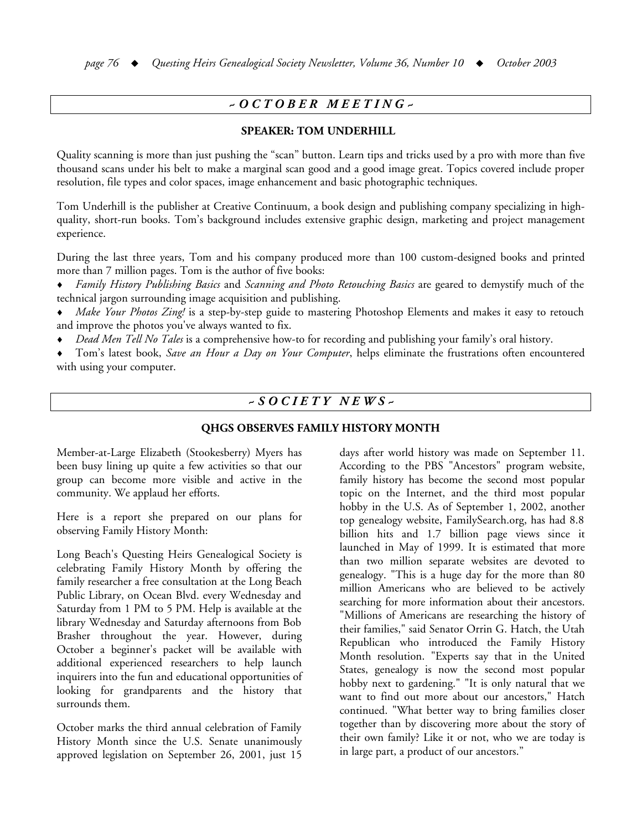## *~ O C T O B E R M E E T I N G ~*

### **SPEAKER: TOM UNDERHILL**

Quality scanning is more than just pushing the "scan" button. Learn tips and tricks used by a pro with more than five thousand scans under his belt to make a marginal scan good and a good image great. Topics covered include proper resolution, file types and color spaces, image enhancement and basic photographic techniques.

Tom Underhill is the publisher at Creative Continuum, a book design and publishing company specializing in highquality, short-run books. Tom's background includes extensive graphic design, marketing and project management experience.

During the last three years, Tom and his company produced more than 100 custom-designed books and printed more than 7 million pages. Tom is the author of five books:

- ♦ *Family History Publishing Basics* and *Scanning and Photo Retouching Basics* are geared to demystify much of the technical jargon surrounding image acquisition and publishing.
- *Make Your Photos Zing!* is a step-by-step guide to mastering Photoshop Elements and makes it easy to retouch and improve the photos you've always wanted to fix.
- ♦ *Dead Men Tell No Tales* is a comprehensive how-to for recording and publishing your family's oral history.

♦ Tom's latest book, *Save an Hour a Day on Your Computer*, helps eliminate the frustrations often encountered with using your computer.

### *~ S O C I E T Y N E W S ~*

#### **QHGS OBSERVES FAMILY HISTORY MONTH**

Member-at-Large Elizabeth (Stookesberry) Myers has been busy lining up quite a few activities so that our group can become more visible and active in the community. We applaud her efforts.

Here is a report she prepared on our plans for observing Family History Month:

Long Beach's Questing Heirs Genealogical Society is celebrating Family History Month by offering the family researcher a free consultation at the Long Beach Public Library, on Ocean Blvd. every Wednesday and Saturday from 1 PM to 5 PM. Help is available at the library Wednesday and Saturday afternoons from Bob Brasher throughout the year. However, during October a beginner's packet will be available with additional experienced researchers to help launch inquirers into the fun and educational opportunities of looking for grandparents and the history that surrounds them.

October marks the third annual celebration of Family History Month since the U.S. Senate unanimously approved legislation on September 26, 2001, just 15

days after world history was made on September 11. According to the PBS "Ancestors" program website, family history has become the second most popular topic on the Internet, and the third most popular hobby in the U.S. As of September 1, 2002, another top genealogy website, FamilySearch.org, has had 8.8 billion hits and 1.7 billion page views since it launched in May of 1999. It is estimated that more than two million separate websites are devoted to genealogy. "This is a huge day for the more than 80 million Americans who are believed to be actively searching for more information about their ancestors. "Millions of Americans are researching the history of their families," said Senator Orrin G. Hatch, the Utah Republican who introduced the Family History Month resolution. "Experts say that in the United States, genealogy is now the second most popular hobby next to gardening." "It is only natural that we want to find out more about our ancestors," Hatch continued. "What better way to bring families closer together than by discovering more about the story of their own family? Like it or not, who we are today is in large part, a product of our ancestors."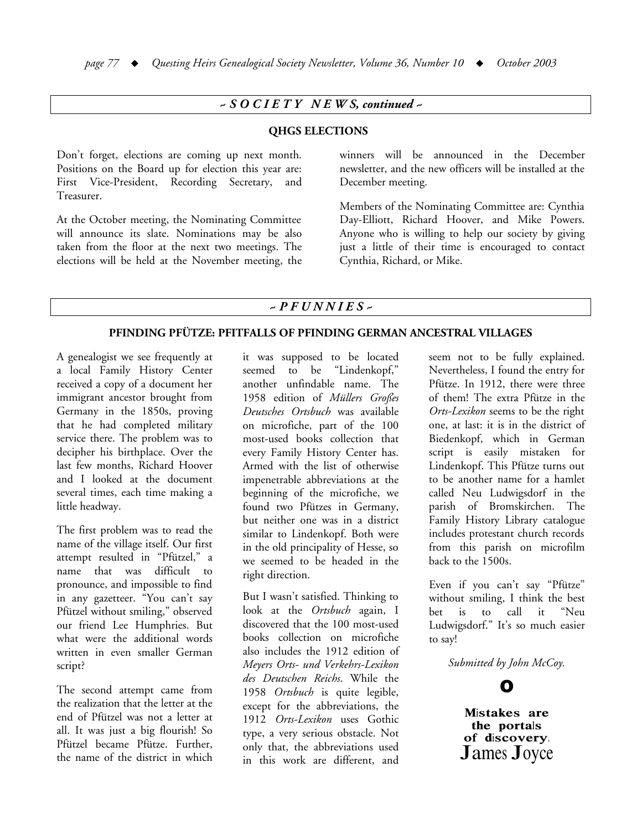### *~ S O C I E T Y N E W S, continued ~*

#### **QHGS ELECTIONS**

Don't forget, elections are coming up next month. Positions on the Board up for election this year are: First Vice-President, Recording Secretary, and Treasurer.

At the October meeting, the Nominating Committee will announce its slate. Nominations may be also taken from the floor at the next two meetings. The elections will be held at the November meeting, the winners will be announced in the December newsletter, and the new officers will be installed at the December meeting.

Members of the Nominating Committee are: Cynthia Day-Elliott, Richard Hoover, and Mike Powers. Anyone who is willing to help our society by giving just a little of their time is encouraged to contact Cynthia, Richard, or Mike.

### *~ P F U N N I E S ~*

#### **PFINDING PFÜTZE: PFITFALLS OF PFINDING GERMAN ANCESTRAL VILLAGES**

A genealogist we see frequently at a local Family History Center received a copy of a document her immigrant ancestor brought from Germany in the 1850s, proving that he had completed military service there. The problem was to decipher his birthplace. Over the last few months, Richard Hoover and I looked at the document several times, each time making a little headway.

The first problem was to read the name of the village itself. Our first attempt resulted in "Pfützel," a name that was difficult to pronounce, and impossible to find in any gazetteer. "You can't say Pfützel without smiling," observed our friend Lee Humphries. But what were the additional words written in even smaller German script?

The second attempt came from the realization that the letter at the end of Pfützel was not a letter at all. It was just a big flourish! So Pfützel became Pfütze. Further, the name of the district in which

it was supposed to be located seemed to be "Lindenkopf," another unfindable name. The 1958 edition of *Müllers Großes Deutsches Ortsbuch* was available on microfiche, part of the 100 most-used books collection that every Family History Center has. Armed with the list of otherwise impenetrable abbreviations at the beginning of the microfiche, we found two Pfützes in Germany, but neither one was in a district similar to Lindenkopf. Both were in the old principality of Hesse, so we seemed to be headed in the right direction.

But I wasn't satisfied. Thinking to look at the *Ortsbuch* again, I discovered that the 100 most-used books collection on microfiche also includes the 1912 edition of *Meyers Orts- und Verkehrs-Lexikon des Deutschen Reichs*. While the 1958 *Ortsbuch* is quite legible, except for the abbreviations, the 1912 *Orts-Lexikon* uses Gothic type, a very serious obstacle. Not only that, the abbreviations used in this work are different, and

seem not to be fully explained. Nevertheless, I found the entry for Pfütze. In 1912, there were three of them! The extra Pfütze in the *Orts-Lexikon* seems to be the right one, at last: it is in the district of Biedenkopf, which in German script is easily mistaken for Lindenkopf. This Pfütze turns out to be another name for a hamlet called Neu Ludwigsdorf in the parish of Bromskirchen. The Family History Library catalogue includes protestant church records from this parish on microfilm back to the 1500s.

Even if you can't say "Pfütze" without smiling, I think the best bet is to call it "Neu Ludwigsdorf." It's so much easier to say!

*Submitted by John McCoy.*

O

Mistakes are the portals of discovery. James Joyce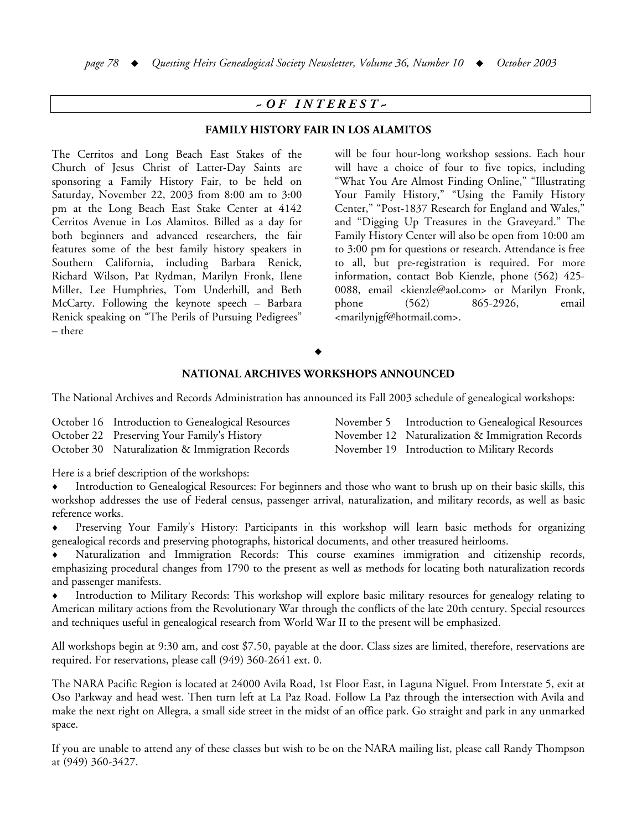# *~ O F I N T E R E S T ~*

#### **FAMILY HISTORY FAIR IN LOS ALAMITOS**

The Cerritos and Long Beach East Stakes of the Church of Jesus Christ of Latter-Day Saints are sponsoring a Family History Fair, to be held on Saturday, November 22, 2003 from 8:00 am to 3:00 pm at the Long Beach East Stake Center at 4142 Cerritos Avenue in Los Alamitos. Billed as a day for both beginners and advanced researchers, the fair features some of the best family history speakers in Southern California, including Barbara Renick, Richard Wilson, Pat Rydman, Marilyn Fronk, Ilene Miller, Lee Humphries, Tom Underhill, and Beth McCarty. Following the keynote speech – Barbara Renick speaking on "The Perils of Pursuing Pedigrees" – there

will be four hour-long workshop sessions. Each hour will have a choice of four to five topics, including "What You Are Almost Finding Online," "Illustrating Your Family History," "Using the Family History Center," "Post-1837 Research for England and Wales," and "Digging Up Treasures in the Graveyard." The Family History Center will also be open from 10:00 am to 3:00 pm for questions or research. Attendance is free to all, but pre-registration is required. For more information, contact Bob Kienzle, phone (562) 425- 0088, email <kienzle@aol.com> or Marilyn Fronk, phone (562) 865-2926, email <marilynjgf@hotmail.com>.

#### $\blacklozenge$

### **NATIONAL ARCHIVES WORKSHOPS ANNOUNCED**

The National Archives and Records Administration has announced its Fall 2003 schedule of genealogical workshops:

October 16 Introduction to Genealogical Resources

October 22 Preserving Your Family's History

October 30 Naturalization & Immigration Records

November 5 Introduction to Genealogical Resources November 12 Naturalization & Immigration Records November 19 Introduction to Military Records

Here is a brief description of the workshops:

Introduction to Genealogical Resources: For beginners and those who want to brush up on their basic skills, this workshop addresses the use of Federal census, passenger arrival, naturalization, and military records, as well as basic reference works.

Preserving Your Family's History: Participants in this workshop will learn basic methods for organizing genealogical records and preserving photographs, historical documents, and other treasured heirlooms.

Naturalization and Immigration Records: This course examines immigration and citizenship records, emphasizing procedural changes from 1790 to the present as well as methods for locating both naturalization records and passenger manifests.

Introduction to Military Records: This workshop will explore basic military resources for genealogy relating to American military actions from the Revolutionary War through the conflicts of the late 20th century. Special resources and techniques useful in genealogical research from World War II to the present will be emphasized.

All workshops begin at 9:30 am, and cost \$7.50, payable at the door. Class sizes are limited, therefore, reservations are required. For reservations, please call (949) 360-2641 ext. 0.

The NARA Pacific Region is located at 24000 Avila Road, 1st Floor East, in Laguna Niguel. From Interstate 5, exit at Oso Parkway and head west. Then turn left at La Paz Road. Follow La Paz through the intersection with Avila and make the next right on Allegra, a small side street in the midst of an office park. Go straight and park in any unmarked space.

If you are unable to attend any of these classes but wish to be on the NARA mailing list, please call Randy Thompson at (949) 360-3427.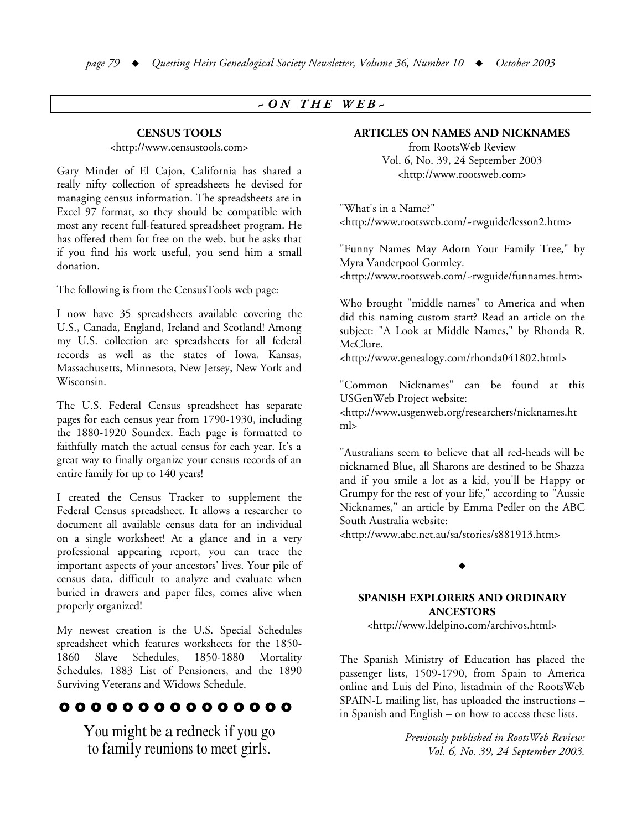### *~ O N T H E W E B ~*

### **CENSUS TOOLS**

#### <http://www.censustools.com>

Gary Minder of El Cajon, California has shared a really nifty collection of spreadsheets he devised for managing census information. The spreadsheets are in Excel 97 format, so they should be compatible with most any recent full-featured spreadsheet program. He has offered them for free on the web, but he asks that if you find his work useful, you send him a small donation.

The following is from the CensusTools web page:

I now have 35 spreadsheets available covering the U.S., Canada, England, Ireland and Scotland! Among my U.S. collection are spreadsheets for all federal records as well as the states of Iowa, Kansas, Massachusetts, Minnesota, New Jersey, New York and Wisconsin.

The U.S. Federal Census spreadsheet has separate pages for each census year from 1790-1930, including the 1880-1920 Soundex. Each page is formatted to faithfully match the actual census for each year. It's a great way to finally organize your census records of an entire family for up to 140 years!

I created the Census Tracker to supplement the Federal Census spreadsheet. It allows a researcher to document all available census data for an individual on a single worksheet! At a glance and in a very professional appearing report, you can trace the important aspects of your ancestors' lives. Your pile of census data, difficult to analyze and evaluate when buried in drawers and paper files, comes alive when properly organized!

My newest creation is the U.S. Special Schedules spreadsheet which features worksheets for the 1850- 1860 Slave Schedules, 1850-1880 Mortality Schedules, 1883 List of Pensioners, and the 1890 Surviving Veterans and Widows Schedule.

# o o o o o o o o o o o o o o o

You might be a redneck if you go to family reunions to meet girls.

#### **ARTICLES ON NAMES AND NICKNAMES**

from RootsWeb Review Vol. 6, No. 39, 24 September 2003 <http://www.rootsweb.com>

"What's in a Name?" <http://www.rootsweb.com/~rwguide/lesson2.htm>

"Funny Names May Adorn Your Family Tree," by Myra Vanderpool Gormley.

<http://www.rootsweb.com/~rwguide/funnames.htm>

Who brought "middle names" to America and when did this naming custom start? Read an article on the subject: "A Look at Middle Names," by Rhonda R. McClure.

<http://www.genealogy.com/rhonda041802.html>

"Common Nicknames" can be found at this USGenWeb Project website:

<http://www.usgenweb.org/researchers/nicknames.ht ml>

"Australians seem to believe that all red-heads will be nicknamed Blue, all Sharons are destined to be Shazza and if you smile a lot as a kid, you'll be Happy or Grumpy for the rest of your life," according to "Aussie Nicknames," an article by Emma Pedler on the ABC South Australia website:

<http://www.abc.net.au/sa/stories/s881913.htm>

### $\blacklozenge$

### **SPANISH EXPLORERS AND ORDINARY ANCESTORS**

<http://www.ldelpino.com/archivos.html>

The Spanish Ministry of Education has placed the passenger lists, 1509-1790, from Spain to America online and Luis del Pino, listadmin of the RootsWeb SPAIN-L mailing list, has uploaded the instructions – in Spanish and English – on how to access these lists.

> *Previously published in RootsWeb Review: Vol. 6, No. 39, 24 September 2003.*